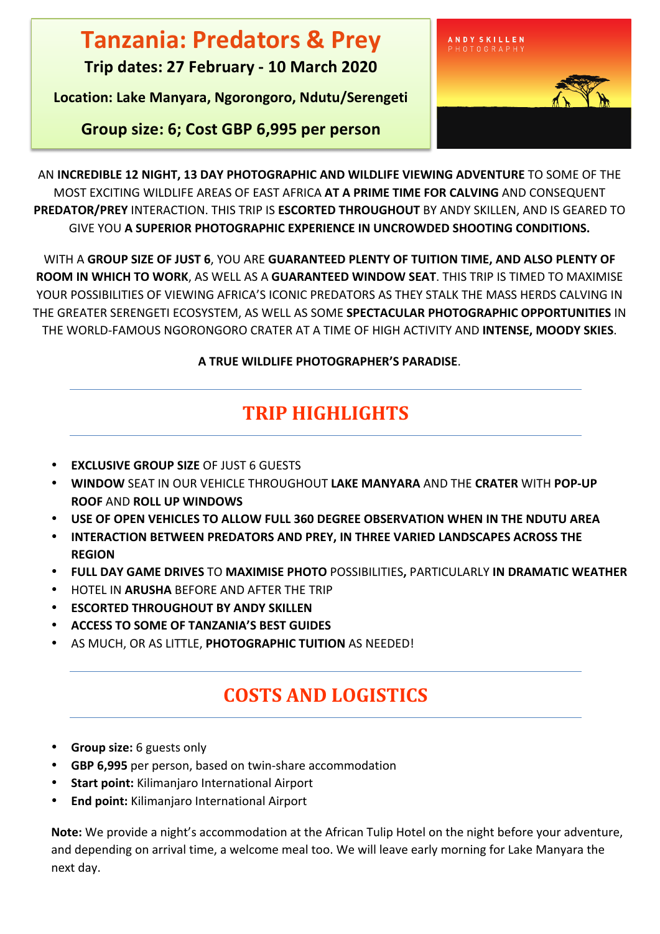# **Tanzania: Predators & Prey**

**Trip dates: 27 February - 10 March 2020**

Location: Lake Manyara, Ngorongoro, Ndutu/Serengeti

**Group size: 6; Cost GBP 6,995 per person**



AN INCREDIBLE 12 NIGHT, 13 DAY PHOTOGRAPHIC AND WILDLIFE VIEWING ADVENTURE TO SOME OF THE MOST EXCITING WILDLIFE AREAS OF EAST AFRICA AT A PRIME TIME FOR CALVING AND CONSEQUENT PREDATOR/PREY INTERACTION. THIS TRIP IS ESCORTED THROUGHOUT BY ANDY SKILLEN, AND IS GEARED TO **GIVE YOU A SUPERIOR PHOTOGRAPHIC EXPERIENCE IN UNCROWDED SHOOTING CONDITIONS.** 

WITH A GROUP SIZE OF JUST 6, YOU ARE GUARANTEED PLENTY OF TUITION TIME, AND ALSO PLENTY OF **ROOM IN WHICH TO WORK**, AS WELL AS A GUARANTEED WINDOW SEAT. THIS TRIP IS TIMED TO MAXIMISE YOUR POSSIBILITIES OF VIEWING AFRICA'S ICONIC PREDATORS AS THEY STALK THE MASS HERDS CALVING IN THE GREATER SERENGETI ECOSYSTEM, AS WELL AS SOME SPECTACULAR PHOTOGRAPHIC OPPORTUNITIES IN THE WORLD-FAMOUS NGORONGORO CRATER AT A TIME OF HIGH ACTIVITY AND **INTENSE, MOODY SKIES**.

#### **A TRUE WILDLIFE PHOTOGRAPHER'S PARADISE.**

# **TRIP HIGHLIGHTS**

- **EXCLUSIVE GROUP SIZE OF JUST 6 GUESTS**
- **WINDOW** SEAT IN OUR VEHICLE THROUGHOUT **LAKE MANYARA** AND THE **CRATER** WITH **POP-UP ROOF** AND **ROLL UP WINDOWS**
- USE OF OPEN VEHICLES TO ALLOW FULL 360 DEGREE OBSERVATION WHEN IN THE NDUTU AREA
- **INTERACTION BETWEEN PREDATORS AND PREY, IN THREE VARIED LANDSCAPES ACROSS THE REGION**
- **FULL DAY GAME DRIVES** TO **MAXIMISE PHOTO** POSSIBILITIES**,** PARTICULARLY **IN DRAMATIC WEATHER**
- **HOTEL IN ARUSHA BEFORE AND AFTER THE TRIP**
- *ESCORTED THROUGHOUT BY ANDY SKILLEN*
- **ACCESS TO SOME OF TANZANIA'S BEST GUIDES**
- AS MUCH, OR AS LITTLE, PHOTOGRAPHIC TUITION AS NEEDED!

## **COSTS AND LOGISTICS**

- **Group size:** 6 guests only
- **GBP 6,995** per person, based on twin-share accommodation
- **Start point:** Kilimanjaro International Airport
- **End point:** Kilimanjaro International Airport

**Note:** We provide a night's accommodation at the African Tulip Hotel on the night before your adventure, and depending on arrival time, a welcome meal too. We will leave early morning for Lake Manyara the next day.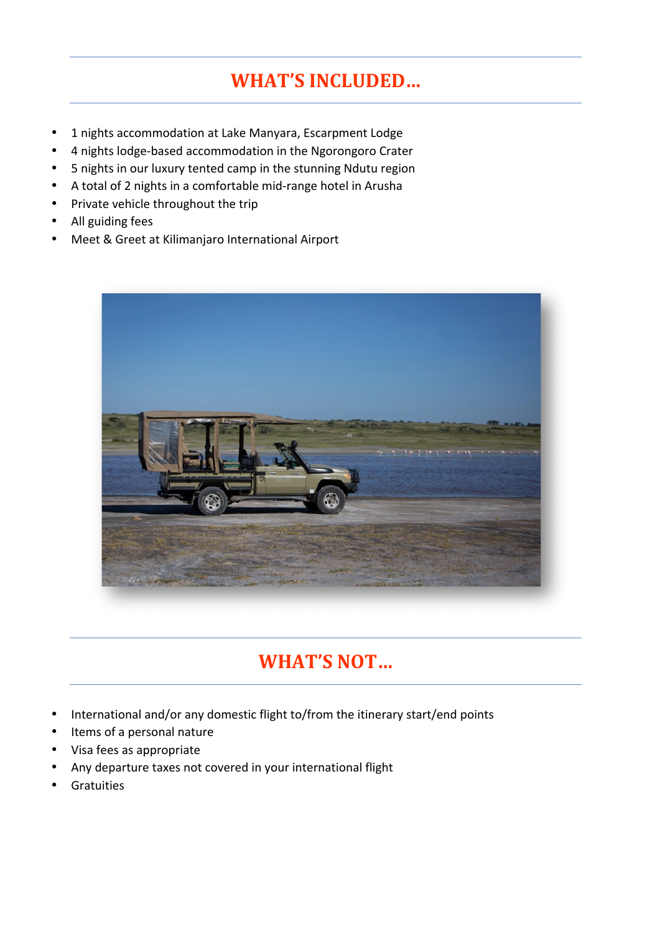## **WHAT'S INCLUDED...**

- 1 nights accommodation at Lake Manyara, Escarpment Lodge
- 4 nights lodge-based accommodation in the Ngorongoro Crater
- 5 nights in our luxury tented camp in the stunning Ndutu region
- A total of 2 nights in a comfortable mid-range hotel in Arusha
- Private vehicle throughout the trip
- All guiding fees
- Meet & Greet at Kilimanjaro International Airport



## WHAT'S NOT...

- International and/or any domestic flight to/from the itinerary start/end points
- Items of a personal nature
- Visa fees as appropriate
- Any departure taxes not covered in your international flight
- Gratuities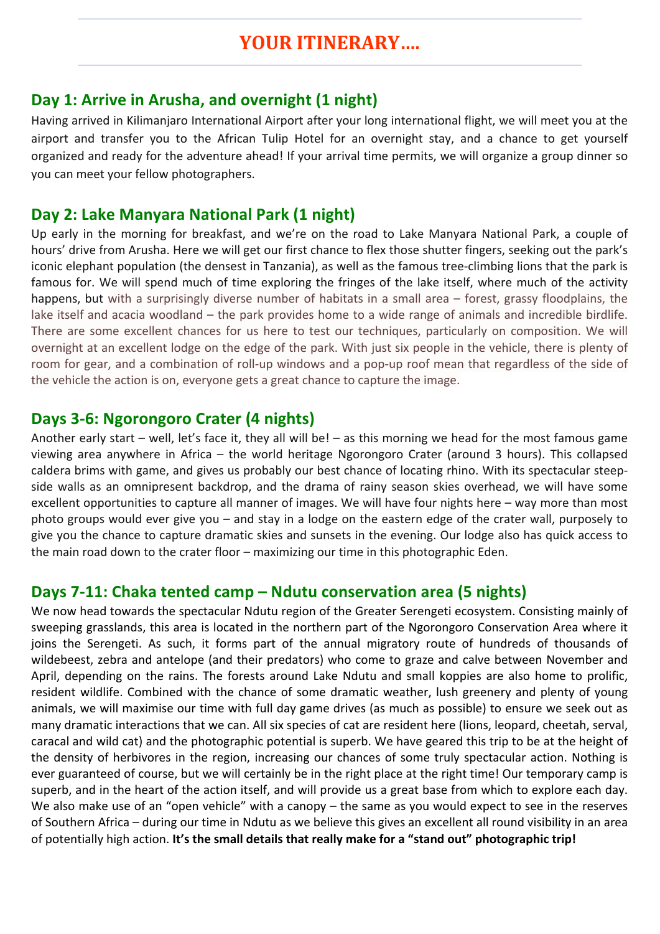#### Day 1: Arrive in Arusha, and overnight (1 night)

Having arrived in Kilimanjaro International Airport after your long international flight, we will meet you at the airport and transfer you to the African Tulip Hotel for an overnight stay, and a chance to get yourself organized and ready for the adventure ahead! If your arrival time permits, we will organize a group dinner so you can meet your fellow photographers.

#### **Day 2: Lake Manyara National Park (1 night)**

Up early in the morning for breakfast, and we're on the road to Lake Manyara National Park, a couple of hours' drive from Arusha. Here we will get our first chance to flex those shutter fingers, seeking out the park's iconic elephant population (the densest in Tanzania), as well as the famous tree-climbing lions that the park is famous for. We will spend much of time exploring the fringes of the lake itself, where much of the activity happens, but with a surprisingly diverse number of habitats in a small area – forest, grassy floodplains, the lake itself and acacia woodland  $-$  the park provides home to a wide range of animals and incredible birdlife. There are some excellent chances for us here to test our techniques, particularly on composition. We will overnight at an excellent lodge on the edge of the park. With just six people in the vehicle, there is plenty of room for gear, and a combination of roll-up windows and a pop-up roof mean that regardless of the side of the vehicle the action is on, everyone gets a great chance to capture the image.

#### **Days** 3-6: **Ngorongoro** Crater (4 nights)

Another early start – well, let's face it, they all will be! – as this morning we head for the most famous game viewing area anywhere in Africa – the world heritage Ngorongoro Crater (around 3 hours). This collapsed caldera brims with game, and gives us probably our best chance of locating rhino. With its spectacular steepside walls as an omnipresent backdrop, and the drama of rainy season skies overhead, we will have some excellent opportunities to capture all manner of images. We will have four nights here – way more than most photo groups would ever give you – and stay in a lodge on the eastern edge of the crater wall, purposely to give you the chance to capture dramatic skies and sunsets in the evening. Our lodge also has quick access to the main road down to the crater floor  $-$  maximizing our time in this photographic Eden.

#### **Days 7-11: Chaka tented camp – Ndutu conservation area (5 nights)**

We now head towards the spectacular Ndutu region of the Greater Serengeti ecosystem. Consisting mainly of sweeping grasslands, this area is located in the northern part of the Ngorongoro Conservation Area where it joins the Serengeti. As such, it forms part of the annual migratory route of hundreds of thousands of wildebeest, zebra and antelope (and their predators) who come to graze and calve between November and April, depending on the rains. The forests around Lake Ndutu and small koppies are also home to prolific, resident wildlife. Combined with the chance of some dramatic weather, lush greenery and plenty of young animals, we will maximise our time with full day game drives (as much as possible) to ensure we seek out as many dramatic interactions that we can. All six species of cat are resident here (lions, leopard, cheetah, serval, caracal and wild cat) and the photographic potential is superb. We have geared this trip to be at the height of the density of herbivores in the region, increasing our chances of some truly spectacular action. Nothing is ever guaranteed of course, but we will certainly be in the right place at the right time! Our temporary camp is superb, and in the heart of the action itself, and will provide us a great base from which to explore each day. We also make use of an "open vehicle" with a canopy  $-$  the same as you would expect to see in the reserves of Southern Africa – during our time in Ndutu as we believe this gives an excellent all round visibility in an area of potentially high action. It's the small details that really make for a "stand out" photographic trip!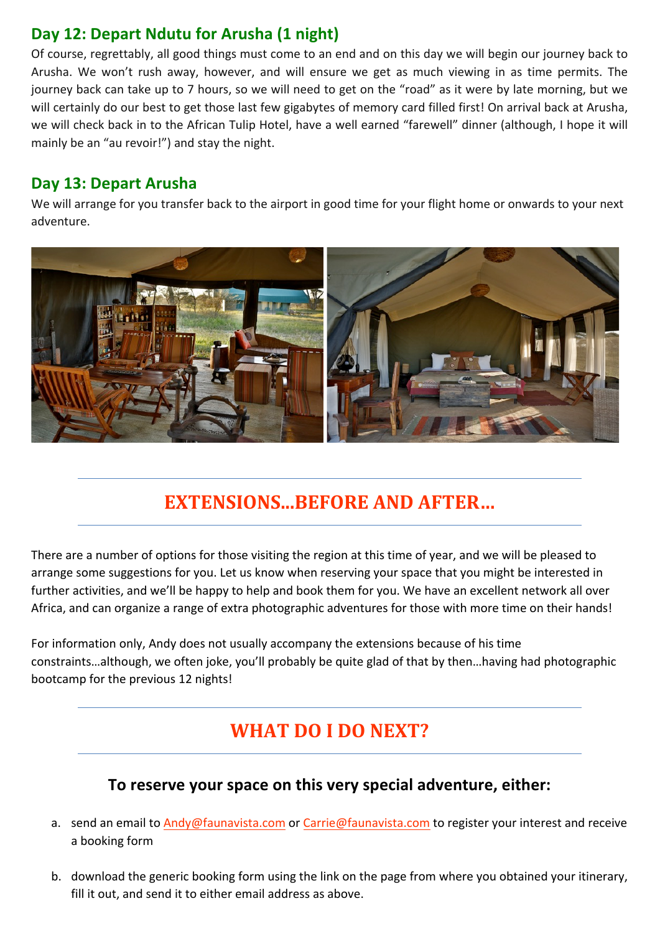## Day 12: Depart Ndutu for Arusha (1 night)

Of course, regrettably, all good things must come to an end and on this day we will begin our journey back to Arusha. We won't rush away, however, and will ensure we get as much viewing in as time permits. The journey back can take up to 7 hours, so we will need to get on the "road" as it were by late morning, but we will certainly do our best to get those last few gigabytes of memory card filled first! On arrival back at Arusha, we will check back in to the African Tulip Hotel, have a well earned "farewell" dinner (although, I hope it will mainly be an "au revoir!") and stay the night.

### Day 13: Depart Arusha

We will arrange for you transfer back to the airport in good time for your flight home or onwards to your next adventure.



## **EXTENSIONS...BEFORE AND AFTER...**

There are a number of options for those visiting the region at this time of year, and we will be pleased to arrange some suggestions for you. Let us know when reserving your space that you might be interested in further activities, and we'll be happy to help and book them for you. We have an excellent network all over Africa, and can organize a range of extra photographic adventures for those with more time on their hands!

For information only, Andy does not usually accompany the extensions because of his time constraints...although, we often joke, you'll probably be quite glad of that by then...having had photographic bootcamp for the previous 12 nights!

## **WHAT DO I DO NEXT?**

## To reserve your space on this very special adventure, either:

- a. send an email to Andy@faunavista.com or Carrie@faunavista.com to register your interest and receive a booking form
- b. download the generic booking form using the link on the page from where you obtained your itinerary, fill it out, and send it to either email address as above.